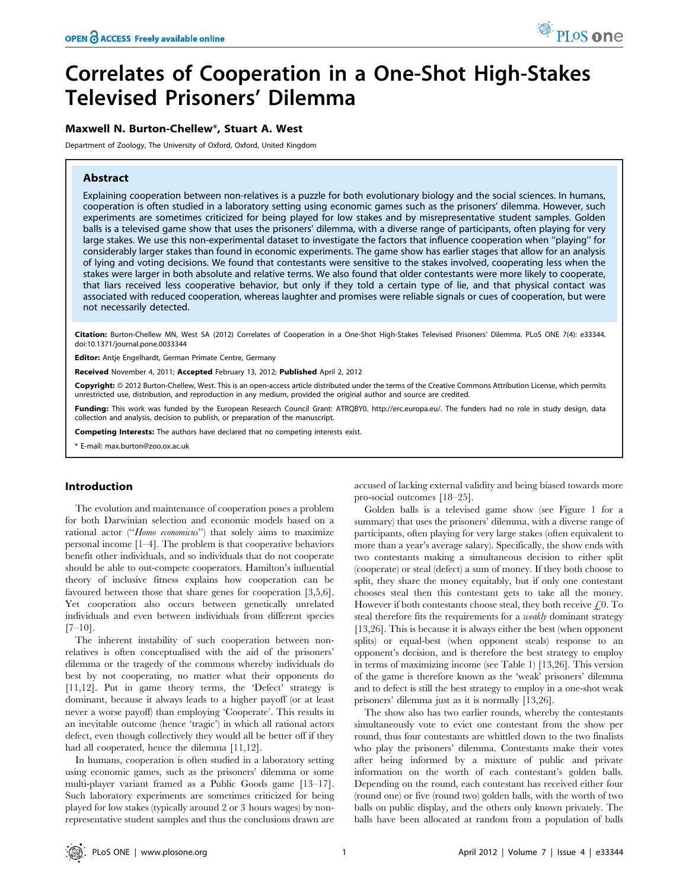# Correlates of Cooperation in a One-Shot High-Stakes Televised Prisoners' Dilemma

# Maxwell N. Burton-Chellew\*, Stuart A. West

Department of Zoology, The University of Oxford, Oxford, United Kingdom

# Abstract

Explaining cooperation between non-relatives is a puzzle for both evolutionary biology and the social sciences. In humans, cooperation is often studied in a laboratory setting using economic games such as the prisoners' dilemma. However, such experiments are sometimes criticized for being played for low stakes and by misrepresentative student samples. Golden balls is a televised game show that uses the prisoners' dilemma, with a diverse range of participants, often playing for very large stakes. We use this non-experimental dataset to investigate the factors that influence cooperation when ''playing'' for considerably larger stakes than found in economic experiments. The game show has earlier stages that allow for an analysis of lying and voting decisions. We found that contestants were sensitive to the stakes involved, cooperating less when the stakes were larger in both absolute and relative terms. We also found that older contestants were more likely to cooperate, that liars received less cooperative behavior, but only if they told a certain type of lie, and that physical contact was associated with reduced cooperation, whereas laughter and promises were reliable signals or cues of cooperation, but were not necessarily detected.

Citation: Burton-Chellew MN, West SA (2012) Correlates of Cooperation in a One-Shot High-Stakes Televised Prisoners' Dilemma. PLoS ONE 7(4): e33344. doi:10.1371/journal.pone.0033344

Editor: Antje Engelhardt, German Primate Centre, Germany

Received November 4, 2011; Accepted February 13, 2012; Published April 2, 2012

Copyright: © 2012 Burton-Chellew, West. This is an open-access article distributed under the terms of the Creative Commons Attribution License, which permits unrestricted use, distribution, and reproduction in any medium, provided the original author and source are credited.

Funding: This work was funded by the European Research Council Grant: ATRQBY0. http://erc.europa.eu/. The funders had no role in study design, data collection and analysis, decision to publish, or preparation of the manuscript.

Competing Interests: The authors have declared that no competing interests exist.

\* E-mail: max.burton@zoo.ox.ac.uk

# Introduction

The evolution and maintenance of cooperation poses a problem for both Darwinian selection and economic models based on a rational actor ("Homo economicus") that solely aims to maximize personal income [1–4]. The problem is that cooperative behaviors benefit other individuals, and so individuals that do not cooperate should be able to out-compete cooperators. Hamilton's influential theory of inclusive fitness explains how cooperation can be favoured between those that share genes for cooperation [3,5,6]. Yet cooperation also occurs between genetically unrelated individuals and even between individuals from different species  $[7-10]$ .

The inherent instability of such cooperation between nonrelatives is often conceptualised with the aid of the prisoners' dilemma or the tragedy of the commons whereby individuals do best by not cooperating, no matter what their opponents do [11,12]. Put in game theory terms, the 'Defect' strategy is dominant, because it always leads to a higher payoff (or at least never a worse payoff) than employing 'Cooperate'. This results in an inevitable outcome (hence 'tragic') in which all rational actors defect, even though collectively they would all be better off if they had all cooperated, hence the dilemma [11,12].

In humans, cooperation is often studied in a laboratory setting using economic games, such as the prisoners' dilemma or some multi-player variant framed as a Public Goods game [13–17]. Such laboratory experiments are sometimes criticized for being played for low stakes (typically around 2 or 3 hours wages) by nonrepresentative student samples and thus the conclusions drawn are

accused of lacking external validity and being biased towards more pro-social outcomes [18–25].

Golden balls is a televised game show (see Figure 1 for a summary) that uses the prisoners' dilemma, with a diverse range of participants, often playing for very large stakes (often equivalent to more than a year's average salary). Specifically, the show ends with two contestants making a simultaneous decision to either split (cooperate) or steal (defect) a sum of money. If they both choose to split, they share the money equitably, but if only one contestant chooses steal then this contestant gets to take all the money. However if both contestants choose steal, they both receive  $f(0, T_0)$ steal therefore fits the requirements for a *weakly* dominant strategy [13,26]. This is because it is always either the best (when opponent splits) or equal-best (when opponent steals) response to an opponent's decision, and is therefore the best strategy to employ in terms of maximizing income (see Table 1) [13,26]. This version of the game is therefore known as the 'weak' prisoners' dilemma and to defect is still the best strategy to employ in a one-shot weak prisoners' dilemma just as it is normally [13,26].

The show also has two earlier rounds, whereby the contestants simultaneously vote to evict one contestant from the show per round, thus four contestants are whittled down to the two finalists who play the prisoners' dilemma. Contestants make their votes after being informed by a mixture of public and private information on the worth of each contestant's golden balls. Depending on the round, each contestant has received either four (round one) or five (round two) golden balls, with the worth of two balls on public display, and the others only known privately. The balls have been allocated at random from a population of balls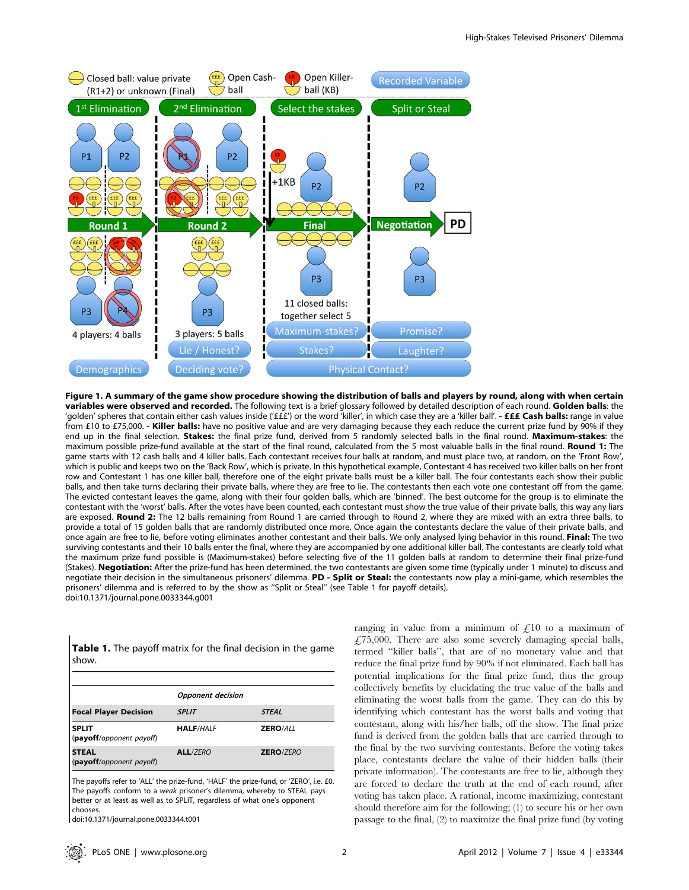

Figure 1. A summary of the game show procedure showing the distribution of balls and players by round, along with when certain variables were observed and recorded. The following text is a brief glossary followed by detailed description of each round. Golden balls: the 'golden' spheres that contain either cash values inside ('£££') or the word 'killer', in which case they are a 'killer ball'. - **£££ Cash balls:** range in value from £10 to £75,000. - Killer balls: have no positive value and are very damaging because they each reduce the current prize fund by 90% if they end up in the final selection. Stakes: the final prize fund, derived from 5 randomly selected balls in the final round. Maximum-stakes: the maximum possible prize-fund available at the start of the final round, calculated from the 5 most valuable balls in the final round. Round 1: The game starts with 12 cash balls and 4 killer balls. Each contestant receives four balls at random, and must place two, at random, on the 'Front Row', which is public and keeps two on the 'Back Row', which is private. In this hypothetical example, Contestant 4 has received two killer balls on her front row and Contestant 1 has one killer ball, therefore one of the eight private balls must be a killer ball. The four contestants each show their public balls, and then take turns declaring their private balls, where they are free to lie. The contestants then each vote one contestant off from the game. The evicted contestant leaves the game, along with their four golden balls, which are 'binned'. The best outcome for the group is to eliminate the contestant with the 'worst' balls. After the votes have been counted, each contestant must show the true value of their private balls, this way any liars are exposed. Round 2: The 12 balls remaining from Round 1 are carried through to Round 2, where they are mixed with an extra three balls, to provide a total of 15 golden balls that are randomly distributed once more. Once again the contestants declare the value of their private balls, and once again are free to lie, before voting eliminates another contestant and their balls. We only analysed lying behavior in this round. Final: The two surviving contestants and their 10 balls enter the final, where they are accompanied by one additional killer ball. The contestants are clearly told what the maximum prize fund possible is (Maximum-stakes) before selecting five of the 11 golden balls at random to determine their final prize-fund (Stakes). Negotiation: After the prize-fund has been determined, the two contestants are given some time (typically under 1 minute) to discuss and negotiate their decision in the simultaneous prisoners' dilemma. PD - Split or Steal: the contestants now play a mini-game, which resembles the prisoners' dilemma and is referred to by the show as ''Split or Steal'' (see Table 1 for payoff details). doi:10.1371/journal.pone.0033344.g001

| <b>Table 1.</b> The payoff matrix for the final decision in the game |  |  |
|----------------------------------------------------------------------|--|--|
| show.                                                                |  |  |

|                                          | <b>Opponent</b> decision |                  |  |
|------------------------------------------|--------------------------|------------------|--|
| <b>Focal Player Decision</b>             | <b>SPLIT</b>             | <b>STEAL</b>     |  |
| <b>SPLIT</b><br>(payoff/opponent payoff) | <b>HALF/HALF</b>         | <b>ZERO/ALL</b>  |  |
| <b>STEAL</b><br>(payoff/opponent payoff) | <b>ALL/ZERO</b>          | <b>ZERO/ZERO</b> |  |

The payoffs refer to 'ALL' the prize-fund, 'HALF' the prize-fund, or 'ZERO', i.e. £0. The payoffs conform to a weak prisoner's dilemma, whereby to STEAL pays better or at least as well as to SPLIT, regardless of what one's opponent chooses.

doi:10.1371/journal.pone.0033344.t001

ranging in value from a minimum of  $\zeta$ 10 to a maximum of  $£75,000$ . There are also some severely damaging special balls, termed ''killer balls'', that are of no monetary value and that reduce the final prize fund by 90% if not eliminated. Each ball has potential implications for the final prize fund, thus the group collectively benefits by elucidating the true value of the balls and eliminating the worst balls from the game. They can do this by identifying which contestant has the worst balls and voting that contestant, along with his/her balls, off the show. The final prize fund is derived from the golden balls that are carried through to the final by the two surviving contestants. Before the voting takes place, contestants declare the value of their hidden balls (their private information). The contestants are free to lie, although they are forced to declare the truth at the end of each round, after voting has taken place. A rational, income maximizing, contestant should therefore aim for the following; (1) to secure his or her own passage to the final, (2) to maximize the final prize fund (by voting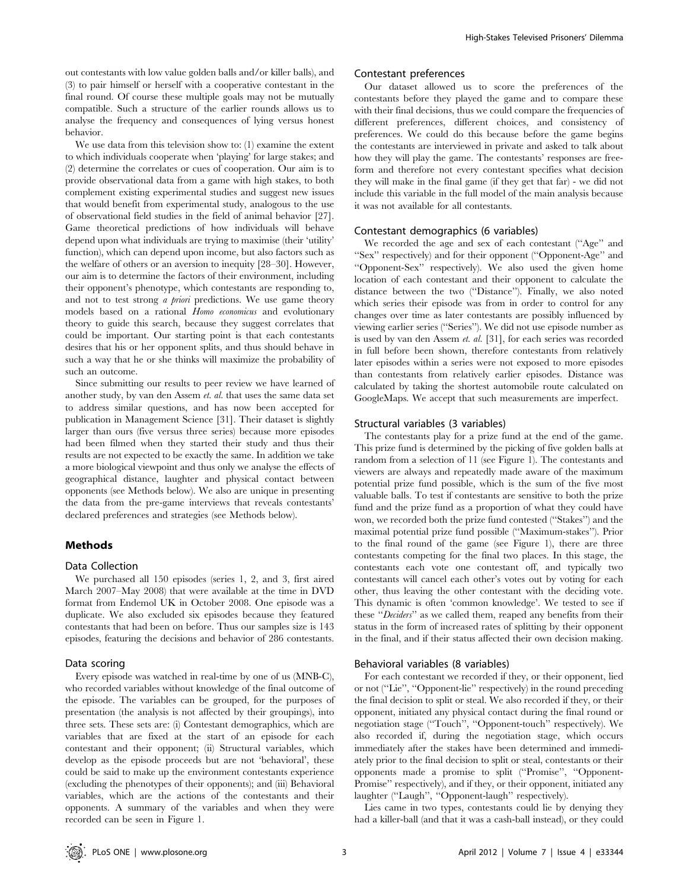out contestants with low value golden balls and/or killer balls), and (3) to pair himself or herself with a cooperative contestant in the final round. Of course these multiple goals may not be mutually compatible. Such a structure of the earlier rounds allows us to analyse the frequency and consequences of lying versus honest behavior.

We use data from this television show to: (1) examine the extent to which individuals cooperate when 'playing' for large stakes; and (2) determine the correlates or cues of cooperation. Our aim is to provide observational data from a game with high stakes, to both complement existing experimental studies and suggest new issues that would benefit from experimental study, analogous to the use of observational field studies in the field of animal behavior [27]. Game theoretical predictions of how individuals will behave depend upon what individuals are trying to maximise (their 'utility' function), which can depend upon income, but also factors such as the welfare of others or an aversion to inequity [28–30]. However, our aim is to determine the factors of their environment, including their opponent's phenotype, which contestants are responding to, and not to test strong  $\alpha$  priori predictions. We use game theory models based on a rational Homo economicus and evolutionary theory to guide this search, because they suggest correlates that could be important. Our starting point is that each contestants desires that his or her opponent splits, and thus should behave in such a way that he or she thinks will maximize the probability of such an outcome.

Since submitting our results to peer review we have learned of another study, by van den Assem et. al. that uses the same data set to address similar questions, and has now been accepted for publication in Management Science [31]. Their dataset is slightly larger than ours (five versus three series) because more episodes had been filmed when they started their study and thus their results are not expected to be exactly the same. In addition we take a more biological viewpoint and thus only we analyse the effects of geographical distance, laughter and physical contact between opponents (see Methods below). We also are unique in presenting the data from the pre-game interviews that reveals contestants' declared preferences and strategies (see Methods below).

# Methods

#### Data Collection

We purchased all 150 episodes (series 1, 2, and 3, first aired March 2007–May 2008) that were available at the time in DVD format from Endemol UK in October 2008. One episode was a duplicate. We also excluded six episodes because they featured contestants that had been on before. Thus our samples size is 143 episodes, featuring the decisions and behavior of 286 contestants.

## Data scoring

Every episode was watched in real-time by one of us (MNB-C), who recorded variables without knowledge of the final outcome of the episode. The variables can be grouped, for the purposes of presentation (the analysis is not affected by their groupings), into three sets. These sets are: (i) Contestant demographics, which are variables that are fixed at the start of an episode for each contestant and their opponent; (ii) Structural variables, which develop as the episode proceeds but are not 'behavioral', these could be said to make up the environment contestants experience (excluding the phenotypes of their opponents); and (iii) Behavioral variables, which are the actions of the contestants and their opponents. A summary of the variables and when they were recorded can be seen in Figure 1.

## Contestant preferences

Our dataset allowed us to score the preferences of the contestants before they played the game and to compare these with their final decisions, thus we could compare the frequencies of different preferences, different choices, and consistency of preferences. We could do this because before the game begins the contestants are interviewed in private and asked to talk about how they will play the game. The contestants' responses are freeform and therefore not every contestant specifies what decision they will make in the final game (if they get that far) - we did not include this variable in the full model of the main analysis because it was not available for all contestants.

#### Contestant demographics (6 variables)

We recorded the age and sex of each contestant (''Age'' and ''Sex'' respectively) and for their opponent (''Opponent-Age'' and ''Opponent-Sex'' respectively). We also used the given home location of each contestant and their opponent to calculate the distance between the two (''Distance''). Finally, we also noted which series their episode was from in order to control for any changes over time as later contestants are possibly influenced by viewing earlier series (''Series''). We did not use episode number as is used by van den Assem et. al. [31], for each series was recorded in full before been shown, therefore contestants from relatively later episodes within a series were not exposed to more episodes than contestants from relatively earlier episodes. Distance was calculated by taking the shortest automobile route calculated on GoogleMaps. We accept that such measurements are imperfect.

#### Structural variables (3 variables)

The contestants play for a prize fund at the end of the game. This prize fund is determined by the picking of five golden balls at random from a selection of 11 (see Figure 1). The contestants and viewers are always and repeatedly made aware of the maximum potential prize fund possible, which is the sum of the five most valuable balls. To test if contestants are sensitive to both the prize fund and the prize fund as a proportion of what they could have won, we recorded both the prize fund contested (''Stakes'') and the maximal potential prize fund possible (''Maximum-stakes''). Prior to the final round of the game (see Figure 1), there are three contestants competing for the final two places. In this stage, the contestants each vote one contestant off, and typically two contestants will cancel each other's votes out by voting for each other, thus leaving the other contestant with the deciding vote. This dynamic is often 'common knowledge'. We tested to see if these "Deciders" as we called them, reaped any benefits from their status in the form of increased rates of splitting by their opponent in the final, and if their status affected their own decision making.

## Behavioral variables (8 variables)

For each contestant we recorded if they, or their opponent, lied or not (''Lie'', ''Opponent-lie'' respectively) in the round preceding the final decision to split or steal. We also recorded if they, or their opponent, initiated any physical contact during the final round or negotiation stage (''Touch'', ''Opponent-touch'' respectively). We also recorded if, during the negotiation stage, which occurs immediately after the stakes have been determined and immediately prior to the final decision to split or steal, contestants or their opponents made a promise to split (''Promise'', ''Opponent-Promise'' respectively), and if they, or their opponent, initiated any laughter (''Laugh'', ''Opponent-laugh'' respectively).

Lies came in two types, contestants could lie by denying they had a killer-ball (and that it was a cash-ball instead), or they could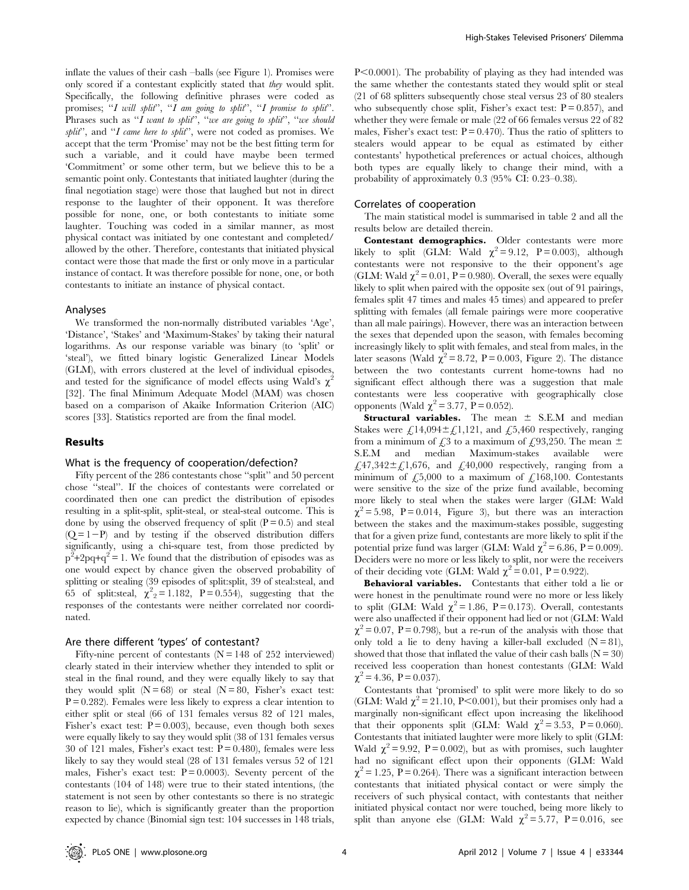inflate the values of their cash –balls (see Figure 1). Promises were only scored if a contestant explicitly stated that they would split. Specifically, the following definitive phrases were coded as promises; "I will split", "I am going to split", "I promise to split". Phrases such as "I want to split", "we are going to split", "we should split", and "I came here to split", were not coded as promises. We accept that the term 'Promise' may not be the best fitting term for such a variable, and it could have maybe been termed 'Commitment' or some other term, but we believe this to be a semantic point only. Contestants that initiated laughter (during the final negotiation stage) were those that laughed but not in direct response to the laughter of their opponent. It was therefore possible for none, one, or both contestants to initiate some laughter. Touching was coded in a similar manner, as most physical contact was initiated by one contestant and completed/ allowed by the other. Therefore, contestants that initiated physical contact were those that made the first or only move in a particular instance of contact. It was therefore possible for none, one, or both contestants to initiate an instance of physical contact.

#### Analyses

We transformed the non-normally distributed variables 'Age', 'Distance', 'Stakes' and 'Maximum-Stakes' by taking their natural logarithms. As our response variable was binary (to 'split' or 'steal'), we fitted binary logistic Generalized Linear Models (GLM), with errors clustered at the level of individual episodes, and tested for the significance of model effects using Wald's  $\chi^2$ [32]. The final Minimum Adequate Model (MAM) was chosen based on a comparison of Akaike Information Criterion (AIC) scores [33]. Statistics reported are from the final model.

# Results

## What is the frequency of cooperation/defection?

Fifty percent of the 286 contestants chose ''split'' and 50 percent chose ''steal''. If the choices of contestants were correlated or coordinated then one can predict the distribution of episodes resulting in a split-split, split-steal, or steal-steal outcome. This is done by using the observed frequency of split  $(P = 0.5)$  and steal  $(Q = 1-P)$  and by testing if the observed distribution differs significantly, using a chi-square test, from those predicted by  $p^2+2pq+q^2=1$ . We found that the distribution of episodes was as one would expect by chance given the observed probability of splitting or stealing (39 episodes of split:split, 39 of steal:steal, and 65 of split: steal,  $\chi^2$ <sub>2</sub> = 1.182, P = 0.554), suggesting that the responses of the contestants were neither correlated nor coordinated.

### Are there different 'types' of contestant?

Fifty-nine percent of contestants ( $N = 148$  of 252 interviewed) clearly stated in their interview whether they intended to split or steal in the final round, and they were equally likely to say that they would split  $(N = 68)$  or steal  $(N = 80,$  Fisher's exact test:  $P = 0.282$ . Females were less likely to express a clear intention to either split or steal (66 of 131 females versus 82 of 121 males, Fisher's exact test:  $P = 0.003$ , because, even though both sexes were equally likely to say they would split (38 of 131 females versus 30 of 121 males, Fisher's exact test:  $P = 0.480$ , females were less likely to say they would steal (28 of 131 females versus 52 of 121 males, Fisher's exact test:  $P = 0.0003$ . Seventy percent of the contestants (104 of 148) were true to their stated intentions, (the statement is not seen by other contestants so there is no strategic reason to lie), which is significantly greater than the proportion expected by chance (Binomial sign test: 104 successes in 148 trials,

 $P<0.0001$ ). The probability of playing as they had intended was the same whether the contestants stated they would split or steal (21 of 68 splitters subsequently chose steal versus 23 of 80 stealers who subsequently chose split, Fisher's exact test:  $P = 0.857$ , and whether they were female or male (22 of 66 females versus 22 of 82 males, Fisher's exact test:  $P = 0.470$ . Thus the ratio of splitters to stealers would appear to be equal as estimated by either contestants' hypothetical preferences or actual choices, although both types are equally likely to change their mind, with a probability of approximately 0.3 (95% CI: 0.23–0.38).

#### Correlates of cooperation

The main statistical model is summarised in table 2 and all the results below are detailed therein.

Contestant demographics. Older contestants were more likely to split (GLM: Wald  $\chi^2 = 9.12$ , P = 0.003), although contestants were not responsive to the their opponent's age (GLM: Wald  $\chi^2$  = 0.01, P = 0.980). Overall, the sexes were equally likely to split when paired with the opposite sex (out of 91 pairings, females split 47 times and males 45 times) and appeared to prefer splitting with females (all female pairings were more cooperative than all male pairings). However, there was an interaction between the sexes that depended upon the season, with females becoming increasingly likely to split with females, and steal from males, in the later seasons (Wald  $\chi^2$  = 8.72, P = 0.003, Figure 2). The distance between the two contestants current home-towns had no significant effect although there was a suggestion that male contestants were less cooperative with geographically close opponents (Wald  $\chi^2 = 3.77$ , P = 0.052).

**Structural variables.** The mean  $\pm$  S.E.M and median Stakes were  $\mathcal{L}$ 14,094 $\pm \mathcal{L}$ 1,121, and  $\mathcal{L}$ 5,460 respectively, ranging from a minimum of  $\text{\textsterling}3$  to a maximum of  $\text{\textsterling}93,250$ . The mean  $\pm$ S.E.M and median Maximum-stakes available were £47,342 $\pm$ £1,676, and £40,000 respectively, ranging from a minimum of  $\text{\textsterling}5,000$  to a maximum of  $\text{\textsterling}168,100$ . Contestants were sensitive to the size of the prize fund available, becoming more likely to steal when the stakes were larger (GLM: Wald  $\chi^2$  = 5.98, P = 0.014, Figure 3), but there was an interaction between the stakes and the maximum-stakes possible, suggesting that for a given prize fund, contestants are more likely to split if the potential prize fund was larger (GLM: Wald  $\chi^2 = 6.86$ , P = 0.009). Deciders were no more or less likely to split, nor were the receivers of their deciding vote (GLM: Wald  $\chi^2 = 0.01$ , P = 0.922).

Behavioral variables. Contestants that either told a lie or were honest in the penultimate round were no more or less likely to split (GLM: Wald  $\chi^2 = 1.86$ , P = 0.173). Overall, contestants were also unaffected if their opponent had lied or not (GLM: Wald  $\chi^2$  = 0.07, P = 0.798), but a re-run of the analysis with those that only told a lie to deny having a killer-ball excluded  $(N = 81)$ , showed that those that inflated the value of their cash balls ( $N = 30$ ) received less cooperation than honest contestants (GLM: Wald  $\chi^2$  = 4.36, P = 0.037).

Contestants that 'promised' to split were more likely to do so (GLM: Wald  $\chi^2$  = 21.10, P<0.001), but their promises only had a marginally non-significant effect upon increasing the likelihood that their opponents split (GLM: Wald  $\chi^2 = 3.53$ , P = 0.060). Contestants that initiated laughter were more likely to split (GLM: Wald  $\chi^2$  = 9.92, P = 0.002), but as with promises, such laughter had no significant effect upon their opponents (GLM: Wald  $\chi^2$  = 1.25, P = 0.264). There was a significant interaction between contestants that initiated physical contact or were simply the receivers of such physical contact, with contestants that neither initiated physical contact nor were touched, being more likely to split than anyone else (GLM: Wald  $\chi^2 = 5.77$ , P = 0.016, see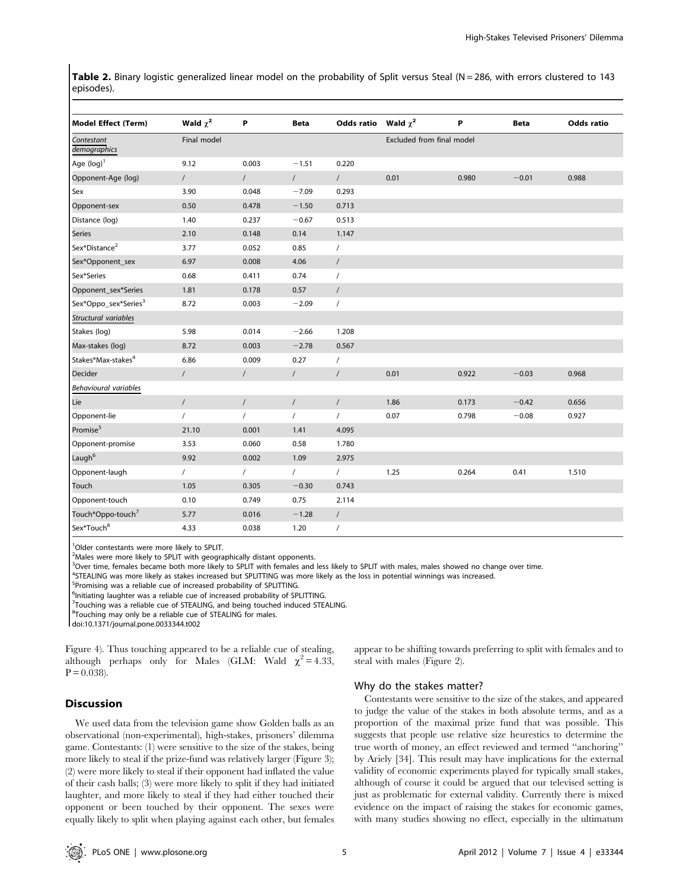Table 2. Binary logistic generalized linear model on the probability of Split versus Steal (N = 286, with errors clustered to 143 episodes).

| <b>Model Effect (Term)</b>       | Wald $\chi^2$ | P          | <b>Beta</b> | Odds ratio     | Wald $\chi^2$             | P     | <b>Beta</b> | <b>Odds ratio</b> |
|----------------------------------|---------------|------------|-------------|----------------|---------------------------|-------|-------------|-------------------|
| Contestant<br>demographics       | Final model   |            |             |                | Excluded from final model |       |             |                   |
| Age $(log)^1$                    | 9.12          | 0.003      | $-1.51$     | 0.220          |                           |       |             |                   |
| Opponent-Age (log)               | $\sqrt{2}$    | $\prime$   | $\sqrt{2}$  | $\sqrt{2}$     | 0.01                      | 0.980 | $-0.01$     | 0.988             |
| Sex                              | 3.90          | 0.048      | $-7.09$     | 0.293          |                           |       |             |                   |
| Opponent-sex                     | 0.50          | 0.478      | $-1.50$     | 0.713          |                           |       |             |                   |
| Distance (log)                   | 1.40          | 0.237      | $-0.67$     | 0.513          |                           |       |             |                   |
| <b>Series</b>                    | 2.10          | 0.148      | 0.14        | 1.147          |                           |       |             |                   |
| Sex*Distance <sup>2</sup>        | 3.77          | 0.052      | 0.85        | $\prime$       |                           |       |             |                   |
| Sex*Opponent_sex                 | 6.97          | 0.008      | 4.06        | $\sqrt{2}$     |                           |       |             |                   |
| Sex*Series                       | 0.68          | 0.411      | 0.74        | $\overline{1}$ |                           |       |             |                   |
| Opponent_sex*Series              | 1.81          | 0.178      | 0.57        | $\sqrt{2}$     |                           |       |             |                   |
| Sex*Oppo_sex*Series <sup>3</sup> | 8.72          | 0.003      | $-2.09$     | $\prime$       |                           |       |             |                   |
| Structural variables             |               |            |             |                |                           |       |             |                   |
| Stakes (log)                     | 5.98          | 0.014      | $-2.66$     | 1.208          |                           |       |             |                   |
| Max-stakes (log)                 | 8.72          | 0.003      | $-2.78$     | 0.567          |                           |       |             |                   |
| Stakes*Max-stakes <sup>4</sup>   | 6.86          | 0.009      | 0.27        | $\sqrt{2}$     |                           |       |             |                   |
| Decider                          | $\prime$      | $\sqrt{2}$ | $\sqrt{2}$  | $\sqrt{2}$     | 0.01                      | 0.922 | $-0.03$     | 0.968             |
| Behavioural variables            |               |            |             |                |                           |       |             |                   |
| Lie                              | $\sqrt{2}$    | $\prime$   | $\sqrt{2}$  | $\prime$       | 1.86                      | 0.173 | $-0.42$     | 0.656             |
| Opponent-lie                     | $\prime$      | $\sqrt{2}$ | $\sqrt{2}$  | $\sqrt{2}$     | 0.07                      | 0.798 | $-0.08$     | 0.927             |
| Promise <sup>5</sup>             | 21.10         | 0.001      | 1.41        | 4.095          |                           |       |             |                   |
| Opponent-promise                 | 3.53          | 0.060      | 0.58        | 1.780          |                           |       |             |                   |
| Laugh <sup>6</sup>               | 9.92          | 0.002      | 1.09        | 2.975          |                           |       |             |                   |
| Opponent-laugh                   | $\prime$      | $\prime$   | $\sqrt{2}$  | $\prime$       | 1.25                      | 0.264 | 0.41        | 1.510             |
| Touch                            | 1.05          | 0.305      | $-0.30$     | 0.743          |                           |       |             |                   |
| Opponent-touch                   | 0.10          | 0.749      | 0.75        | 2.114          |                           |       |             |                   |
| Touch*Oppo-touch <sup>7</sup>    | 5.77          | 0.016      | $-1.28$     | $\sqrt{2}$     |                           |       |             |                   |
| Sex*Touch <sup>8</sup>           | 4.33          | 0.038      | 1.20        | $\prime$       |                           |       |             |                   |

<sup>1</sup>Older contestants were more likely to SPLIT.

<sup>2</sup>Males were more likely to SPLIT with geographically distant opponents.

<sup>3</sup>Over time, females became both more likely to SPLIT with females and less likely to SPLIT with males, males showed no change over time.

4 STEALING was more likely as stakes increased but SPLITTING was more likely as the loss in potential winnings was increased.

<sup>5</sup>Promising was a reliable cue of increased probability of SPLITTING.

<sup>6</sup>Initiating laughter was a reliable cue of increased probability of SPLITTING.

<sup>7</sup>Touching was a reliable cue of STEALING, and being touched induced STEALING.

<sup>8</sup>Touching may only be a reliable cue of STEALING for males.

doi:10.1371/journal.pone.0033344.t002

Figure 4). Thus touching appeared to be a reliable cue of stealing, although perhaps only for Males (GLM: Wald  $\chi^2$  = 4.33,  $P = 0.038$ .

# Discussion

We used data from the television game show Golden balls as an observational (non-experimental), high-stakes, prisoners' dilemma game. Contestants: (1) were sensitive to the size of the stakes, being more likely to steal if the prize-fund was relatively larger (Figure 3); (2) were more likely to steal if their opponent had inflated the value of their cash balls; (3) were more likely to split if they had initiated laughter, and more likely to steal if they had either touched their opponent or been touched by their opponent. The sexes were equally likely to split when playing against each other, but females appear to be shifting towards preferring to split with females and to steal with males (Figure 2).

#### Why do the stakes matter?

Contestants were sensitive to the size of the stakes, and appeared to judge the value of the stakes in both absolute terms, and as a proportion of the maximal prize fund that was possible. This suggests that people use relative size heurestics to determine the true worth of money, an effect reviewed and termed ''anchoring'' by Ariely [34]. This result may have implications for the external validity of economic experiments played for typically small stakes, although of course it could be argued that our televised setting is just as problematic for external validity. Currently there is mixed evidence on the impact of raising the stakes for economic games, with many studies showing no effect, especially in the ultimatum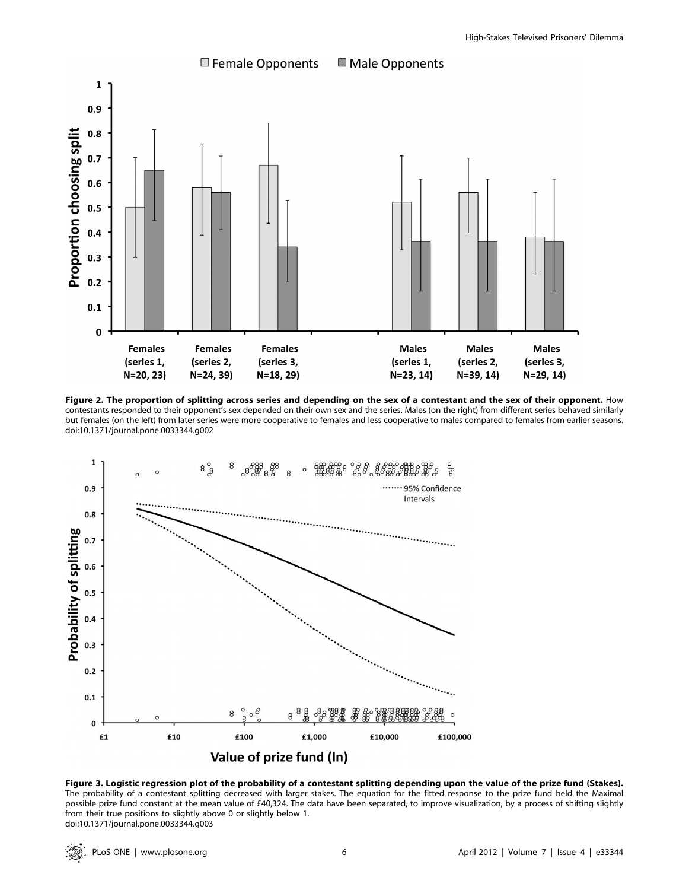

Figure 2. The proportion of splitting across series and depending on the sex of a contestant and the sex of their opponent. How contestants responded to their opponent's sex depended on their own sex and the series. Males (on the right) from different series behaved similarly but females (on the left) from later series were more cooperative to females and less cooperative to males compared to females from earlier seasons. doi:10.1371/journal.pone.0033344.g002



Figure 3. Logistic regression plot of the probability of a contestant splitting depending upon the value of the prize fund (Stakes). The probability of a contestant splitting decreased with larger stakes. The equation for the fitted response to the prize fund held the Maximal possible prize fund constant at the mean value of £40,324. The data have been separated, to improve visualization, by a process of shifting slightly from their true positions to slightly above 0 or slightly below 1. doi:10.1371/journal.pone.0033344.g003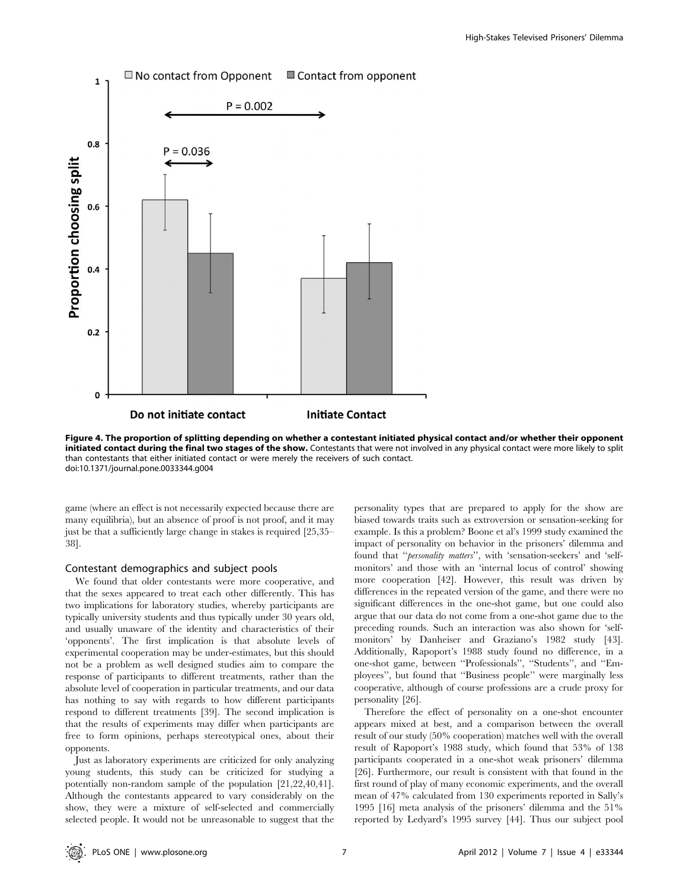

Figure 4. The proportion of splitting depending on whether a contestant initiated physical contact and/or whether their opponent initiated contact during the final two stages of the show. Contestants that were not involved in any physical contact were more likely to split than contestants that either initiated contact or were merely the receivers of such contact. doi:10.1371/journal.pone.0033344.g004

game (where an effect is not necessarily expected because there are many equilibria), but an absence of proof is not proof, and it may just be that a sufficiently large change in stakes is required [25,35– 38].

### Contestant demographics and subject pools

We found that older contestants were more cooperative, and that the sexes appeared to treat each other differently. This has two implications for laboratory studies, whereby participants are typically university students and thus typically under 30 years old, and usually unaware of the identity and characteristics of their 'opponents'. The first implication is that absolute levels of experimental cooperation may be under-estimates, but this should not be a problem as well designed studies aim to compare the response of participants to different treatments, rather than the absolute level of cooperation in particular treatments, and our data has nothing to say with regards to how different participants respond to different treatments [39]. The second implication is that the results of experiments may differ when participants are free to form opinions, perhaps stereotypical ones, about their opponents.

Just as laboratory experiments are criticized for only analyzing young students, this study can be criticized for studying a potentially non-random sample of the population [21,22,40,41]. Although the contestants appeared to vary considerably on the show, they were a mixture of self-selected and commercially selected people. It would not be unreasonable to suggest that the personality types that are prepared to apply for the show are biased towards traits such as extroversion or sensation-seeking for example. Is this a problem? Boone et al's 1999 study examined the impact of personality on behavior in the prisoners' dilemma and found that "*personality matters*", with 'sensation-seekers' and 'selfmonitors' and those with an 'internal locus of control' showing more cooperation [42]. However, this result was driven by differences in the repeated version of the game, and there were no significant differences in the one-shot game, but one could also argue that our data do not come from a one-shot game due to the preceding rounds. Such an interaction was also shown for 'selfmonitors' by Danheiser and Graziano's 1982 study [43]. Additionally, Rapoport's 1988 study found no difference, in a one-shot game, between ''Professionals'', ''Students'', and ''Employees'', but found that ''Business people'' were marginally less cooperative, although of course professions are a crude proxy for personality [26].

Therefore the effect of personality on a one-shot encounter appears mixed at best, and a comparison between the overall result of our study (50% cooperation) matches well with the overall result of Rapoport's 1988 study, which found that 53% of 138 participants cooperated in a one-shot weak prisoners' dilemma [26]. Furthermore, our result is consistent with that found in the first round of play of many economic experiments, and the overall mean of 47% calculated from 130 experiments reported in Sally's 1995 [16] meta analysis of the prisoners' dilemma and the 51% reported by Ledyard's 1995 survey [44]. Thus our subject pool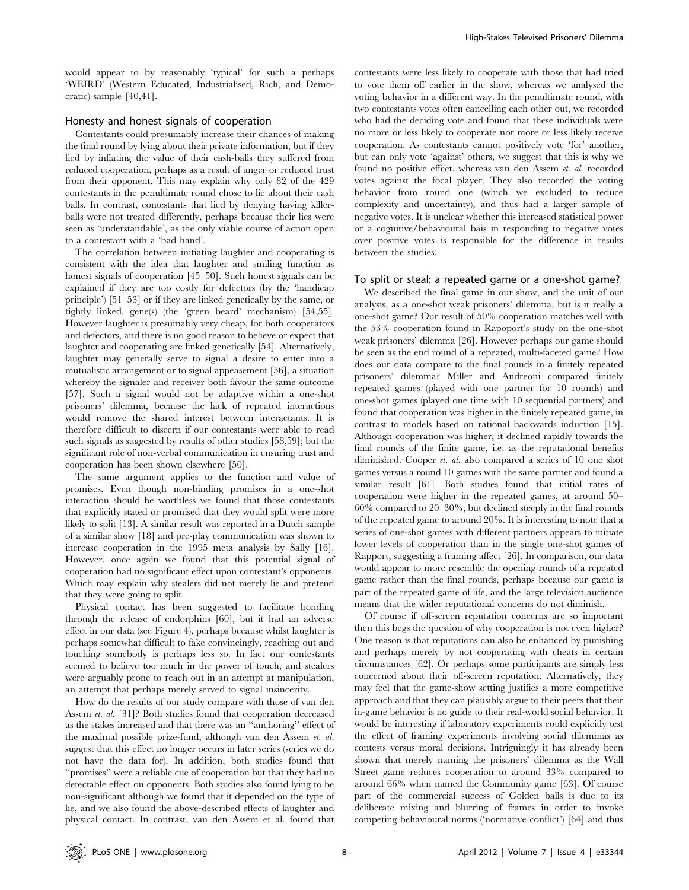would appear to by reasonably 'typical' for such a perhaps 'WEIRD' (Western Educated, Industrialised, Rich, and Democratic) sample [40,41].

## Honesty and honest signals of cooperation

Contestants could presumably increase their chances of making the final round by lying about their private information, but if they lied by inflating the value of their cash-balls they suffered from reduced cooperation, perhaps as a result of anger or reduced trust from their opponent. This may explain why only 82 of the 429 contestants in the penultimate round chose to lie about their cash balls. In contrast, contestants that lied by denying having killerballs were not treated differently, perhaps because their lies were seen as 'understandable', as the only viable course of action open to a contestant with a 'bad hand'.

The correlation between initiating laughter and cooperating is consistent with the idea that laughter and smiling function as honest signals of cooperation [45–50]. Such honest signals can be explained if they are too costly for defectors (by the 'handicap principle') [51–53] or if they are linked genetically by the same, or tightly linked, gene(s) (the 'green beard' mechanism) [54,55]. However laughter is presumably very cheap, for both cooperators and defectors, and there is no good reason to believe or expect that laughter and cooperating are linked genetically [54]. Alternatively, laughter may generally serve to signal a desire to enter into a mutualistic arrangement or to signal appeasement [56], a situation whereby the signaler and receiver both favour the same outcome [57]. Such a signal would not be adaptive within a one-shot prisoners' dilemma, because the lack of repeated interactions would remove the shared interest between interactants. It is therefore difficult to discern if our contestants were able to read such signals as suggested by results of other studies [58,59]; but the significant role of non-verbal communication in ensuring trust and cooperation has been shown elsewhere [50].

The same argument applies to the function and value of promises. Even though non-binding promises in a one-shot interaction should be worthless we found that those contestants that explicitly stated or promised that they would split were more likely to split [13]. A similar result was reported in a Dutch sample of a similar show [18] and pre-play communication was shown to increase cooperation in the 1995 meta analysis by Sally [16]. However, once again we found that this potential signal of cooperation had no significant effect upon contestant's opponents. Which may explain why stealers did not merely lie and pretend that they were going to split.

Physical contact has been suggested to facilitate bonding through the release of endorphins [60], but it had an adverse effect in our data (see Figure 4), perhaps because whilst laughter is perhaps somewhat difficult to fake convincingly, reaching out and touching somebody is perhaps less so. In fact our contestants seemed to believe too much in the power of touch, and stealers were arguably prone to reach out in an attempt at manipulation, an attempt that perhaps merely served to signal insincerity.

How do the results of our study compare with those of van den Assem et. al. [31]? Both studies found that cooperation decreased as the stakes increased and that there was an ''anchoring'' effect of the maximal possible prize-fund, although van den Assem et. al. suggest that this effect no longer occurs in later series (series we do not have the data for). In addition, both studies found that ''promises'' were a reliable cue of cooperation but that they had no detectable effect on opponents. Both studies also found lying to be non-significant although we found that it depended on the type of lie, and we also found the above-described effects of laughter and physical contact. In contrast, van den Assem et al. found that

contestants were less likely to cooperate with those that had tried to vote them off earlier in the show, whereas we analysed the voting behavior in a different way. In the penultimate round, with two contestants votes often cancelling each other out, we recorded who had the deciding vote and found that these individuals were no more or less likely to cooperate nor more or less likely receive cooperation. As contestants cannot positively vote 'for' another, but can only vote 'against' others, we suggest that this is why we found no positive effect, whereas van den Assem et. al. recorded votes against the focal player. They also recorded the voting behavior from round one (which we excluded to reduce complexity and uncertainty), and thus had a larger sample of negative votes. It is unclear whether this increased statistical power or a cognitive/behavioural bais in responding to negative votes over positive votes is responsible for the difference in results between the studies.

## To split or steal: a repeated game or a one-shot game?

We described the final game in our show, and the unit of our analysis, as a one-shot weak prisoners' dilemma, but is it really a one-shot game? Our result of 50% cooperation matches well with the 53% cooperation found in Rapoport's study on the one-shot weak prisoners' dilemma [26]. However perhaps our game should be seen as the end round of a repeated, multi-faceted game? How does our data compare to the final rounds in a finitely repeated prisoners' dilemma? Miller and Andreoni compared finitely repeated games (played with one partner for 10 rounds) and one-shot games (played one time with 10 sequential partners) and found that cooperation was higher in the finitely repeated game, in contrast to models based on rational backwards induction [15]. Although cooperation was higher, it declined rapidly towards the final rounds of the finite game, i.e. as the reputational benefits diminished. Cooper et. al. also compared a series of 10 one shot games versus a round 10 games with the same partner and found a similar result [61]. Both studies found that initial rates of cooperation were higher in the repeated games, at around 50– 60% compared to 20–30%, but declined steeply in the final rounds of the repeated game to around 20%. It is interesting to note that a series of one-shot games with different partners appears to initiate lower levels of cooperation than in the single one-shot games of Rapport, suggesting a framing affect [26]. In comparison, our data would appear to more resemble the opening rounds of a repeated game rather than the final rounds, perhaps because our game is part of the repeated game of life, and the large television audience means that the wider reputational concerns do not diminish.

Of course if off-screen reputation concerns are so important then this begs the question of why cooperation is not even higher? One reason is that reputations can also be enhanced by punishing and perhaps merely by not cooperating with cheats in certain circumstances [62]. Or perhaps some participants are simply less concerned about their off-screen reputation. Alternatively, they may feel that the game-show setting justifies a more competitive approach and that they can plausibly argue to their peers that their in-game behavior is no guide to their real-world social behavior. It would be interesting if laboratory experiments could explicitly test the effect of framing experiments involving social dilemmas as contests versus moral decisions. Intriguingly it has already been shown that merely naming the prisoners' dilemma as the Wall Street game reduces cooperation to around 33% compared to around 66% when named the Community game [63]. Of course part of the commercial success of Golden balls is due to its deliberate mixing and blurring of frames in order to invoke competing behavioural norms ('normative conflict') [64] and thus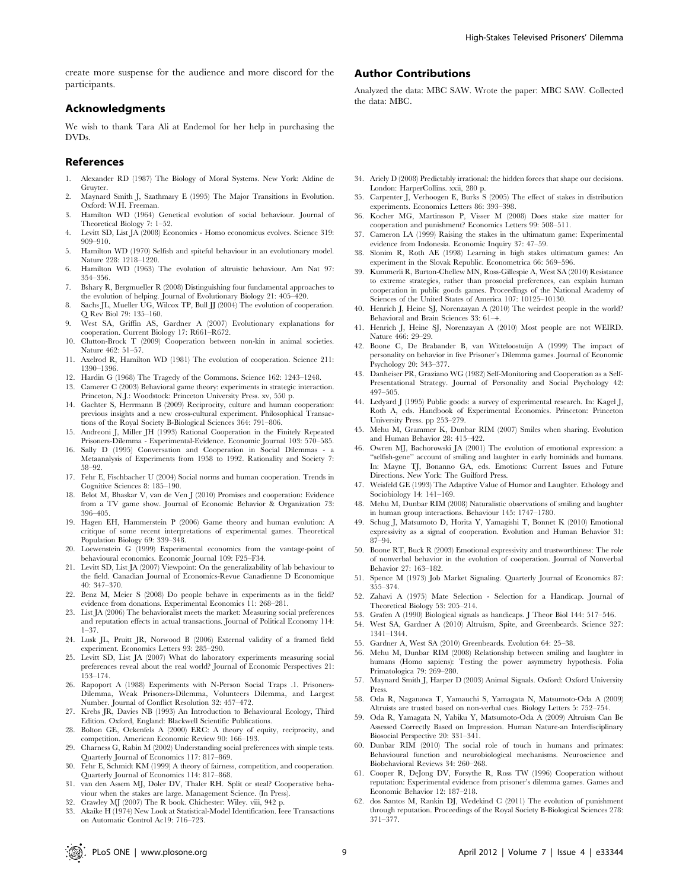create more suspense for the audience and more discord for the participants.

# Acknowledgments

We wish to thank Tara Ali at Endemol for her help in purchasing the DVDs.

## References

- 1. Alexander RD (1987) The Biology of Moral Systems. New York: Aldine de Gruyter.
- 2. Maynard Smith J, Szathmary E (1995) The Major Transitions in Evolution. Oxford: W.H. Freeman.
- 3. Hamilton WD (1964) Genetical evolution of social behaviour. Journal of Theoretical Biology 7: 1–52.
- 4. Levitt SD, List JA (2008) Economics Homo economicus evolves. Science 319: 909–910.
- 5. Hamilton WD (1970) Selfish and spiteful behaviour in an evolutionary model. Nature 228: 1218–1220.
- 6. Hamilton WD (1963) The evolution of altruistic behaviour. Am Nat 97: 354–356.
- 7. Bshary R, Bergmueller R (2008) Distinguishing four fundamental approaches to the evolution of helping. Journal of Evolutionary Biology 21: 405–420.
- 8. Sachs JL, Mueller UG, Wilcox TP, Bull JJ (2004) The evolution of cooperation. Q Rev Biol 79: 135–160.
- 9. West SA, Griffin AS, Gardner A (2007) Evolutionary explanations for cooperation. Current Biology 17: R661–R672.
- 10. Clutton-Brock T (2009) Cooperation between non-kin in animal societies. Nature 462: 51–57.
- 11. Axelrod R, Hamilton WD (1981) The evolution of cooperation. Science 211: 1390–1396.
- 12. Hardin G (1968) The Tragedy of the Commons. Science 162: 1243–1248.
- 13. Camerer C (2003) Behavioral game theory: experiments in strategic interaction. Princeton, N.J.: Woodstock: Princeton University Press. xv, 550 p.
- 14. Gachter S, Herrmann B (2009) Reciprocity, culture and human cooperation: previous insights and a new cross-cultural experiment. Philosophical Transactions of the Royal Society B-Biological Sciences 364: 791–806.
- 15. Andreoni J, Miller JH (1993) Rational Cooperation in the Finitely Repeated Prisoners-Dilemma - Experimental-Evidence. Economic Journal 103: 570–585.
- 16. Sally D (1995) Conversation and Cooperation in Social Dilemmas a Metaanalysis of Experiments from 1958 to 1992. Rationality and Society 7: 58–92.
- 17. Fehr E, Fischbacher U (2004) Social norms and human cooperation. Trends in Cognitive Sciences 8: 185–190.
- 18. Belot M, Bhaskar V, van de Ven J (2010) Promises and cooperation: Evidence from a TV game show. Journal of Economic Behavior & Organization 73: 396–405.
- 19. Hagen EH, Hammerstein P (2006) Game theory and human evolution: A critique of some recent interpretations of experimental games. Theoretical Population Biology 69: 339–348.
- 20. Loewenstein G (1999) Experimental economics from the vantage-point of behavioural economics. Economic Journal 109: F25–F34.
- 21. Levitt SD, List JA (2007) Viewpoint: On the generalizability of lab behaviour to the field. Canadian Journal of Economics-Revue Canadienne D Economique 40: 347–370.
- 22. Benz M, Meier S (2008) Do people behave in experiments as in the field? evidence from donations. Experimental Economics 11: 268–281.
- 23. List JA (2006) The behavioralist meets the market: Measuring social preferences and reputation effects in actual transactions. Journal of Political Economy 114: 1–37.
- 24. Lusk JL, Pruitt JR, Norwood B (2006) External validity of a framed field experiment. Economics Letters 93: 285–290.
- 25. Levitt SD, List JA (2007) What do laboratory experiments measuring social preferences reveal about the real world? Journal of Economic Perspectives 21: 153–174.
- 26. Rapoport A (1988) Experiments with N-Person Social Traps .1. Prisoners-Dilemma, Weak Prisoners-Dilemma, Volunteers Dilemma, and Largest Number. Journal of Conflict Resolution 32: 457–472.
- 27. Krebs JR, Davies NB (1993) An Introduction to Behavioural Ecology, Third Edition. Oxford, England: Blackwell Scientific Publications.
- 28. Bolton GE, Ockenfels A (2000) ERC: A theory of equity, reciprocity, and competition. American Economic Review 90: 166–193.
- 29. Charness G, Rabin M (2002) Understanding social preferences with simple tests. Quarterly Journal of Economics 117: 817–869.
- 30. Fehr E, Schmidt KM (1999) A theory of fairness, competition, and cooperation. Quarterly Journal of Economics 114: 817–868.
- 31. van den Assem MJ, Doler DV, Thaler RH. Split or steal? Cooperative behaviour when the stakes are large. Management Science. (In Press).
- 32. Crawley MJ (2007) The R book. Chichester: Wiley. viii, 942 p.
- 33. Akaike H (1974) New Look at Statistical-Model Identification. Ieee Transactions on Automatic Control Ac19: 716–723.

# Author Contributions

Analyzed the data: MBC SAW. Wrote the paper: MBC SAW. Collected the data: MBC.

- 34. Ariely D (2008) Predictably irrational: the hidden forces that shape our decisions. London: HarperCollins. xxii, 280 p.
- 35. Carpenter J, Verhoogen E, Burks S (2005) The effect of stakes in distribution experiments. Economics Letters 86: 393–398.
- 36. Kocher MG, Martinsson P, Visser M (2008) Does stake size matter for cooperation and punishment? Economics Letters 99: 508–511.
- 37. Cameron LA (1999) Raising the stakes in the ultimatum game: Experimental evidence from Indonesia. Economic Inquiry 37: 47–59.
- 38. Slonim R, Roth AE (1998) Learning in high stakes ultimatum games: An experiment in the Slovak Republic. Econometrica 66: 569–596.
- 39. Kummerli R, Burton-Chellew MN, Ross-Gillespie A, West SA (2010) Resistance to extreme strategies, rather than prosocial preferences, can explain human cooperation in public goods games. Proceedings of the National Academy of Sciences of the United States of America 107: 10125–10130.
- 40. Henrich J, Heine SJ, Norenzayan A (2010) The weirdest people in the world? Behavioral and Brain Sciences 33: 61-+
- 41. Henrich J, Heine SJ, Norenzayan A (2010) Most people are not WEIRD. Nature 466: 29–29.
- 42. Boone C, De Brabander B, van Witteloostuijn A (1999) The impact of personality on behavior in five Prisoner's Dilemma games. Journal of Economic Psychology 20: 343–377.
- 43. Danheiser PR, Graziano WG (1982) Self-Monitoring and Cooperation as a Self-Presentational Strategy. Journal of Personality and Social Psychology 42: 497–505.
- 44. Ledyard J (1995) Public goods: a survey of experimental research. In: Kagel J, Roth A, eds. Handbook of Experimental Economics. Princeton: Princeton University Press. pp 253–279.
- 45. Mehu M, Grammer K, Dunbar RIM (2007) Smiles when sharing. Evolution and Human Behavior 28: 415–422.
- 46. Owren MJ, Bachorowski JA (2001) The evolution of emotional expression: a ''selfish-gene'' account of smiling and laughter in early hominids and humans. In: Mayne TJ, Bonanno GA, eds. Emotions: Current Issues and Future Directions. New York: The Guilford Press.
- 47. Weisfeld GE (1993) The Adaptive Value of Humor and Laughter. Ethology and Sociobiology 14: 141–169.
- 48. Mehu M, Dunbar RIM (2008) Naturalistic observations of smiling and laughter in human group interactions. Behaviour 145: 1747–1780.
- 49. Schug J, Matsumoto D, Horita Y, Yamagishi T, Bonnet K (2010) Emotional expressivity as a signal of cooperation. Evolution and Human Behavior 31: 87–94.
- 50. Boone RT, Buck R (2003) Emotional expressivity and trustworthiness: The role of nonverbal behavior in the evolution of cooperation. Journal of Nonverbal Behavior 27: 163–182.
- Spence M (1973) Job Market Signaling. Quarterly Journal of Economics 87: 355–374.
- 52. Zahavi A (1975) Mate Selection Selection for a Handicap. Journal of Theoretical Biology 53: 205–214.
- 53. Grafen A (1990) Biological signals as handicaps. J Theor Biol 144: 517–546.
- 54. West SA, Gardner A (2010) Altruism, Spite, and Greenbeards. Science 327: 1341–1344.
- 55. Gardner A, West SA (2010) Greenbeards. Evolution 64: 25–38.
- 56. Mehu M, Dunbar RIM (2008) Relationship between smiling and laughter in humans (Homo sapiens): Testing the power asymmetry hypothesis. Folia Primatologica 79: 269–280.
- 57. Maynard Smith J, Harper D (2003) Animal Signals. Oxford: Oxford University Press.
- 58. Oda R, Naganawa T, Yamauchi S, Yamagata N, Matsumoto-Oda A (2009) Altruists are trusted based on non-verbal cues. Biology Letters 5: 752–754.
- 59. Oda R, Yamagata N, Yabiku Y, Matsumoto-Oda A (2009) Altruism Can Be Assessed Correctly Based on Impression. Human Nature-an Interdisciplinary Biosocial Perspective 20: 331–341.
- 60. Dunbar RIM (2010) The social role of touch in humans and primates: Behavioural function and neurobiological mechanisms. Neuroscience and Biobehavioral Reviews 34: 260–268.
- 61. Cooper R, DeJong DV, Forsythe R, Ross TW (1996) Cooperation without reputation: Experimental evidence from prisoner's dilemma games. Games and Economic Behavior 12: 187–218.
- 62. dos Santos M, Rankin DJ, Wedekind C (2011) The evolution of punishment through reputation. Proceedings of the Royal Society B-Biological Sciences 278: 371–377.